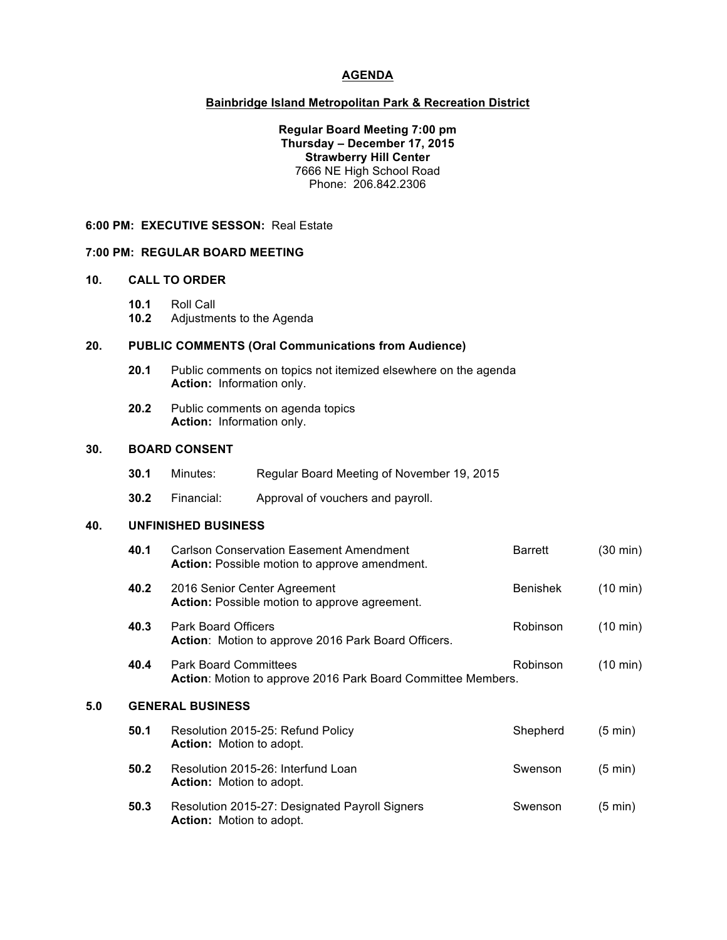### **AGENDA**

### **Bainbridge Island Metropolitan Park & Recreation District**

**Regular Board Meeting 7:00 pm Thursday – December 17, 2015 Strawberry Hill Center** 7666 NE High School Road Phone: 206.842.2306

#### **6:00 PM: EXECUTIVE SESSON:** Real Estate

#### **7:00 PM: REGULAR BOARD MEETING**

# **10. CALL TO ORDER**

**10.1** Roll Call

**10.2** Adjustments to the Agenda

# **20. PUBLIC COMMENTS (Oral Communications from Audience)**

- **20.1** Public comments on topics not itemized elsewhere on the agenda **Action:** Information only.
- **20.2** Public comments on agenda topics **Action:** Information only.

#### **30. BOARD CONSENT**

|     | 30.1                       | Minutes:   | Regular Board Meeting of November 19, 2015                                                             |                 |                    |  |  |  |
|-----|----------------------------|------------|--------------------------------------------------------------------------------------------------------|-----------------|--------------------|--|--|--|
|     | 30.2                       | Financial: | Approval of vouchers and payroll.                                                                      |                 |                    |  |  |  |
| 40. | <b>UNFINISHED BUSINESS</b> |            |                                                                                                        |                 |                    |  |  |  |
|     | 40.1                       |            | <b>Carlson Conservation Easement Amendment</b><br><b>Action:</b> Possible motion to approve amendment. | <b>Barrett</b>  | $(30 \text{ min})$ |  |  |  |
|     | 40.2                       |            | 2016 Senior Center Agreement<br><b>Action:</b> Possible motion to approve agreement.                   | <b>Benishek</b> | $(10 \text{ min})$ |  |  |  |

**40.3** Park Board Officers **Robinson** (10 min) Action: Motion to approve 2016 Park Board Officers. **40.4** Park Board Committees **Robinson** (10 min) **Action**: Motion to approve 2016 Park Board Committee Members. **5.0 GENERAL BUSINESS**

| 50.1 | Resolution 2015-25: Refund Policy<br><b>Action:</b> Motion to adopt.              | Shepherd | $(5 \text{ min})$ |
|------|-----------------------------------------------------------------------------------|----------|-------------------|
| 50.2 | Resolution 2015-26: Interfund Loan<br><b>Action:</b> Motion to adopt.             | Swenson  | $(5 \text{ min})$ |
| 50.3 | Resolution 2015-27: Designated Payroll Signers<br><b>Action:</b> Motion to adopt. | Swenson  | $(5 \text{ min})$ |